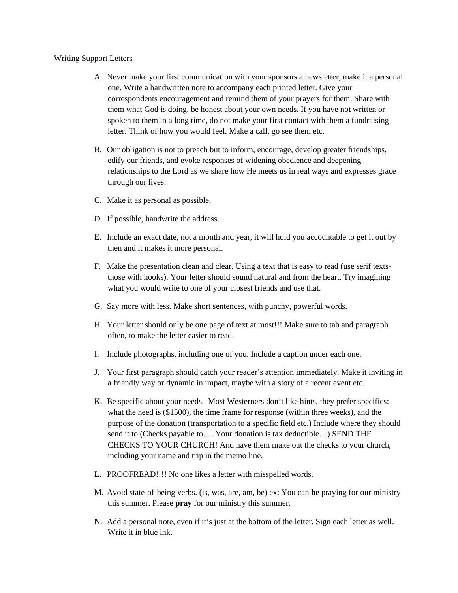## Writing Support Letters

- A. Never make your first communication with your sponsors a newsletter, make it a personal one. Write a handwritten note to accompany each printed letter. Give your correspondents encouragement and remind them of your prayers for them. Share with them what God is doing, be honest about your own needs. If you have not written or spoken to them in a long time, do not make your first contact with them a fundraising letter. Think of how you would feel. Make a call, go see them etc.
- B. Our obligation is not to preach but to inform, encourage, develop greater friendships, edify our friends, and evoke responses of widening obedience and deepening relationships to the Lord as we share how He meets us in real ways and expresses grace through our lives.
- C. Make it as personal as possible.
- D. If possible, handwrite the address.
- E. Include an exact date, not a month and year, it will hold you accountable to get it out by then and it makes it more personal.
- F. Make the presentation clean and clear. Using a text that is easy to read (use serif textsthose with hooks). Your letter should sound natural and from the heart. Try imagining what you would write to one of your closest friends and use that.
- G. Say more with less. Make short sentences, with punchy, powerful words.
- H. Your letter should only be one page of text at most!!! Make sure to tab and paragraph often, to make the letter easier to read.
- I. Include photographs, including one of you. Include a caption under each one.
- J. Your first paragraph should catch your reader's attention immediately. Make it inviting in a friendly way or dynamic in impact, maybe with a story of a recent event etc.
- K. Be specific about your needs. Most Westerners don't like hints, they prefer specifics: what the need is (\$1500), the time frame for response (within three weeks), and the purpose of the donation (transportation to a specific field etc.) Include where they should send it to (Checks payable to.... Your donation is tax deductible...) SEND THE CHECKS TO YOUR CHURCH! And have them make out the checks to your church, including your name and trip in the memo line.
- L. PROOFREAD!!!! No one likes a letter with misspelled words.
- M. Avoid state-of-being verbs. (is, was, are, am, be) ex: You can **be** praying for our ministry this summer. Please **pray** for our ministry this summer.
- N. Add a personal note, even if it's just at the bottom of the letter. Sign each letter as well. Write it in blue ink.